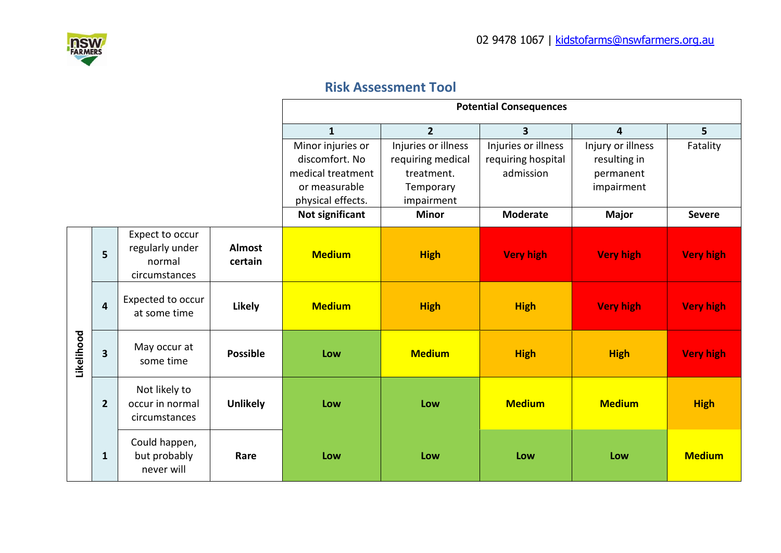

## **Risk Assessment Tool**

|            |                |                                                               |                          | <b>Potential Consequences</b>                                                                                     |                                                                                                   |                                                                           |                                                                              |                           |
|------------|----------------|---------------------------------------------------------------|--------------------------|-------------------------------------------------------------------------------------------------------------------|---------------------------------------------------------------------------------------------------|---------------------------------------------------------------------------|------------------------------------------------------------------------------|---------------------------|
|            |                |                                                               |                          | $\mathbf{1}$                                                                                                      | $\overline{2}$                                                                                    | 3                                                                         | $\overline{4}$                                                               | 5                         |
|            |                |                                                               |                          | Minor injuries or<br>discomfort. No<br>medical treatment<br>or measurable<br>physical effects.<br>Not significant | Injuries or illness<br>requiring medical<br>treatment.<br>Temporary<br>impairment<br><b>Minor</b> | Injuries or illness<br>requiring hospital<br>admission<br><b>Moderate</b> | Injury or illness<br>resulting in<br>permanent<br>impairment<br><b>Major</b> | Fatality<br><b>Severe</b> |
|            | 5              | Expect to occur<br>regularly under<br>normal<br>circumstances | <b>Almost</b><br>certain | <b>Medium</b>                                                                                                     | <b>High</b>                                                                                       | <b>Very high</b>                                                          | <b>Very high</b>                                                             | <b>Very high</b>          |
| Likelihood | 4              | Expected to occur<br>at some time                             | Likely                   | <b>Medium</b>                                                                                                     | <b>High</b>                                                                                       | <b>High</b>                                                               | <b>Very high</b>                                                             | <b>Very high</b>          |
|            | 3              | May occur at<br>some time                                     | <b>Possible</b>          | Low                                                                                                               | <b>Medium</b>                                                                                     | <b>High</b>                                                               | <b>High</b>                                                                  | <b>Very high</b>          |
|            | $\overline{2}$ | Not likely to<br>occur in normal<br>circumstances             | <b>Unlikely</b>          | Low                                                                                                               | Low                                                                                               | <b>Medium</b>                                                             | <b>Medium</b>                                                                | <b>High</b>               |
|            | $\mathbf{1}$   | Could happen,<br>but probably<br>never will                   | Rare                     | Low                                                                                                               | Low                                                                                               | Low                                                                       | Low                                                                          | <b>Medium</b>             |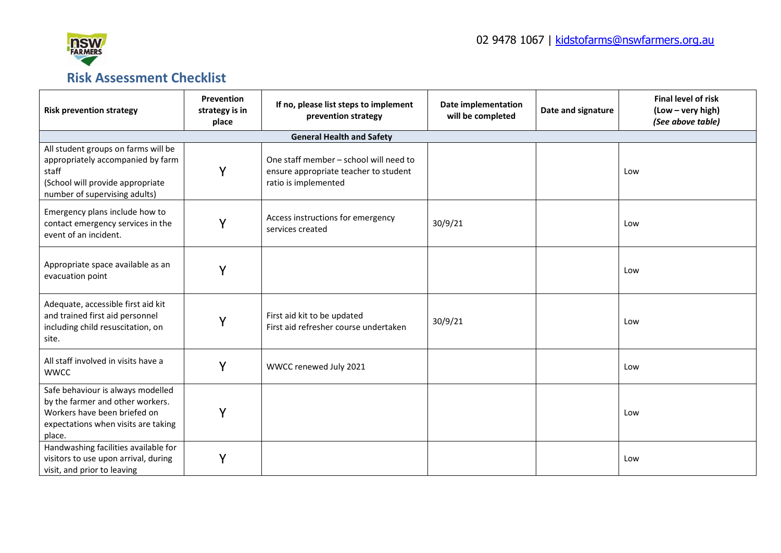

## **Risk Assessment Checklist**

| <b>Risk prevention strategy</b>                                                                                                                        | Prevention<br>strategy is in<br>place | If no, please list steps to implement<br>prevention strategy                                            | Date implementation<br>will be completed | Date and signature | <b>Final level of risk</b><br>(Low - very high)<br>(See above table) |
|--------------------------------------------------------------------------------------------------------------------------------------------------------|---------------------------------------|---------------------------------------------------------------------------------------------------------|------------------------------------------|--------------------|----------------------------------------------------------------------|
|                                                                                                                                                        |                                       | <b>General Health and Safety</b>                                                                        |                                          |                    |                                                                      |
| All student groups on farms will be<br>appropriately accompanied by farm<br>staff<br>(School will provide appropriate<br>number of supervising adults) | Y                                     | One staff member - school will need to<br>ensure appropriate teacher to student<br>ratio is implemented |                                          |                    | Low                                                                  |
| Emergency plans include how to<br>contact emergency services in the<br>event of an incident.                                                           | Y                                     | Access instructions for emergency<br>services created                                                   | 30/9/21                                  |                    | Low                                                                  |
| Appropriate space available as an<br>evacuation point                                                                                                  | Y                                     |                                                                                                         |                                          |                    | Low                                                                  |
| Adequate, accessible first aid kit<br>and trained first aid personnel<br>including child resuscitation, on<br>site.                                    | Y                                     | First aid kit to be updated<br>First aid refresher course undertaken                                    | 30/9/21                                  |                    | Low                                                                  |
| All staff involved in visits have a<br><b>WWCC</b>                                                                                                     | Y                                     | WWCC renewed July 2021                                                                                  |                                          |                    | Low                                                                  |
| Safe behaviour is always modelled<br>by the farmer and other workers.<br>Workers have been briefed on<br>expectations when visits are taking<br>place. | Υ                                     |                                                                                                         |                                          |                    | Low                                                                  |
| Handwashing facilities available for<br>visitors to use upon arrival, during<br>visit, and prior to leaving                                            | Υ                                     |                                                                                                         |                                          |                    | Low                                                                  |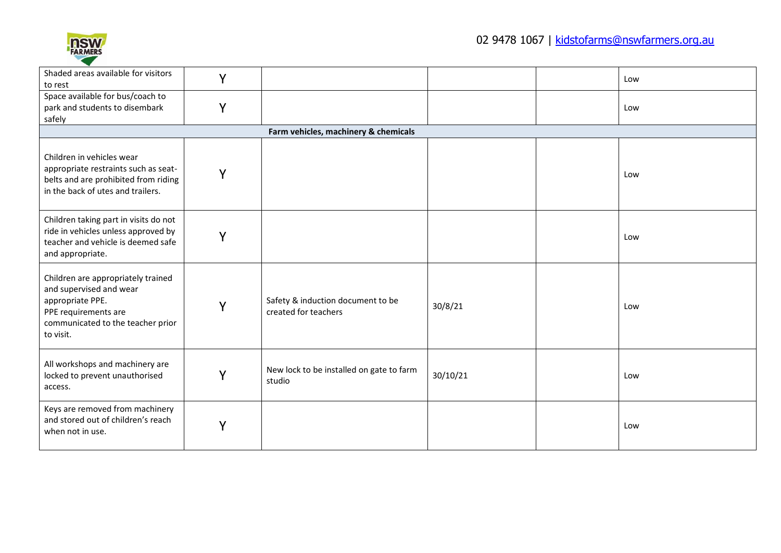

| Shaded areas available for visitors<br>to rest                                                                                                              | Y |                                                           |          | Low |
|-------------------------------------------------------------------------------------------------------------------------------------------------------------|---|-----------------------------------------------------------|----------|-----|
| Space available for bus/coach to<br>park and students to disembark<br>safely                                                                                | Y |                                                           |          | Low |
|                                                                                                                                                             |   | Farm vehicles, machinery & chemicals                      |          |     |
| Children in vehicles wear<br>appropriate restraints such as seat-<br>belts and are prohibited from riding<br>in the back of utes and trailers.              | Y |                                                           |          | Low |
| Children taking part in visits do not<br>ride in vehicles unless approved by<br>teacher and vehicle is deemed safe<br>and appropriate.                      | Y |                                                           |          | Low |
| Children are appropriately trained<br>and supervised and wear<br>appropriate PPE.<br>PPE requirements are<br>communicated to the teacher prior<br>to visit. | Y | Safety & induction document to be<br>created for teachers | 30/8/21  | Low |
| All workshops and machinery are<br>locked to prevent unauthorised<br>access.                                                                                | Y | New lock to be installed on gate to farm<br>studio        | 30/10/21 | Low |
| Keys are removed from machinery<br>and stored out of children's reach<br>when not in use.                                                                   | Y |                                                           |          | Low |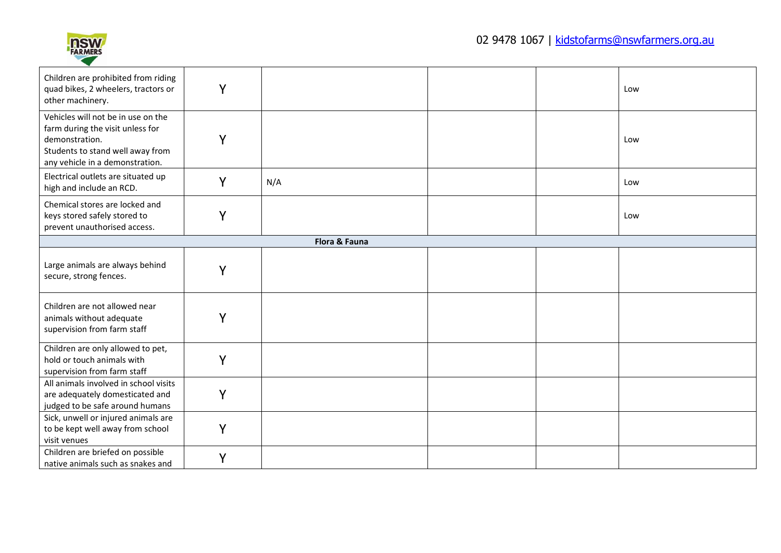

| Children are prohibited from riding<br>quad bikes, 2 wheelers, tractors or<br>other machinery.                                                                  | Y |               |  | Low |
|-----------------------------------------------------------------------------------------------------------------------------------------------------------------|---|---------------|--|-----|
| Vehicles will not be in use on the<br>farm during the visit unless for<br>demonstration.<br>Students to stand well away from<br>any vehicle in a demonstration. | Y |               |  | Low |
| Electrical outlets are situated up<br>high and include an RCD.                                                                                                  | Y | N/A           |  | Low |
| Chemical stores are locked and<br>keys stored safely stored to<br>prevent unauthorised access.                                                                  | Y |               |  | Low |
|                                                                                                                                                                 |   | Flora & Fauna |  |     |
| Large animals are always behind<br>secure, strong fences.                                                                                                       | Y |               |  |     |
| Children are not allowed near<br>animals without adequate<br>supervision from farm staff                                                                        | Υ |               |  |     |
| Children are only allowed to pet,<br>hold or touch animals with<br>supervision from farm staff                                                                  | Y |               |  |     |
| All animals involved in school visits<br>are adequately domesticated and<br>judged to be safe around humans                                                     | Y |               |  |     |
| Sick, unwell or injured animals are<br>to be kept well away from school<br>visit venues                                                                         | Y |               |  |     |
| Children are briefed on possible<br>native animals such as snakes and                                                                                           | Y |               |  |     |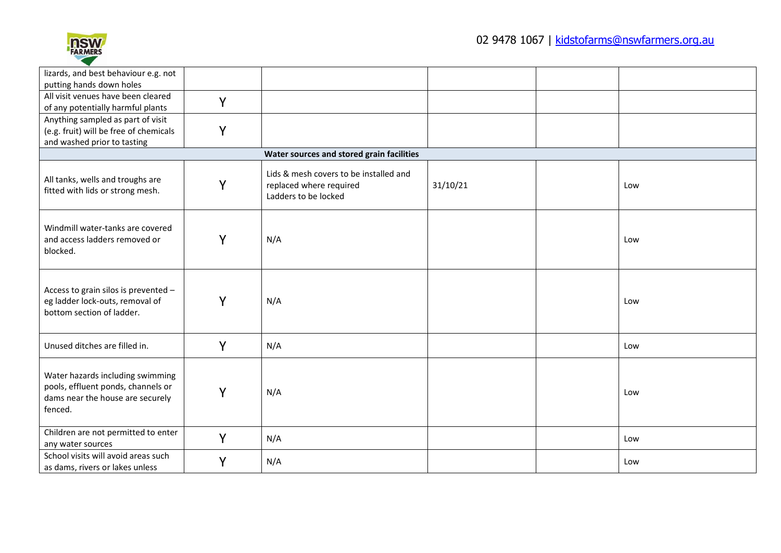

| lizards, and best behaviour e.g. not                                                                                  |   |                                                                                           |          |     |
|-----------------------------------------------------------------------------------------------------------------------|---|-------------------------------------------------------------------------------------------|----------|-----|
| putting hands down holes                                                                                              |   |                                                                                           |          |     |
| All visit venues have been cleared                                                                                    | Y |                                                                                           |          |     |
| of any potentially harmful plants                                                                                     |   |                                                                                           |          |     |
| Anything sampled as part of visit                                                                                     |   |                                                                                           |          |     |
| (e.g. fruit) will be free of chemicals                                                                                | Y |                                                                                           |          |     |
| and washed prior to tasting                                                                                           |   |                                                                                           |          |     |
|                                                                                                                       |   | Water sources and stored grain facilities                                                 |          |     |
| All tanks, wells and troughs are<br>fitted with lids or strong mesh.                                                  | Y | Lids & mesh covers to be installed and<br>replaced where required<br>Ladders to be locked | 31/10/21 | Low |
| Windmill water-tanks are covered<br>and access ladders removed or<br>blocked.                                         | Y | N/A                                                                                       |          | Low |
| Access to grain silos is prevented -<br>eg ladder lock-outs, removal of<br>bottom section of ladder.                  | Y | N/A                                                                                       |          | Low |
| Unused ditches are filled in.                                                                                         | Y | N/A                                                                                       |          | Low |
| Water hazards including swimming<br>pools, effluent ponds, channels or<br>dams near the house are securely<br>fenced. | Y | N/A                                                                                       |          | Low |
| Children are not permitted to enter<br>any water sources                                                              | Y | N/A                                                                                       |          | Low |
| School visits will avoid areas such<br>as dams, rivers or lakes unless                                                | Y | N/A                                                                                       |          | Low |